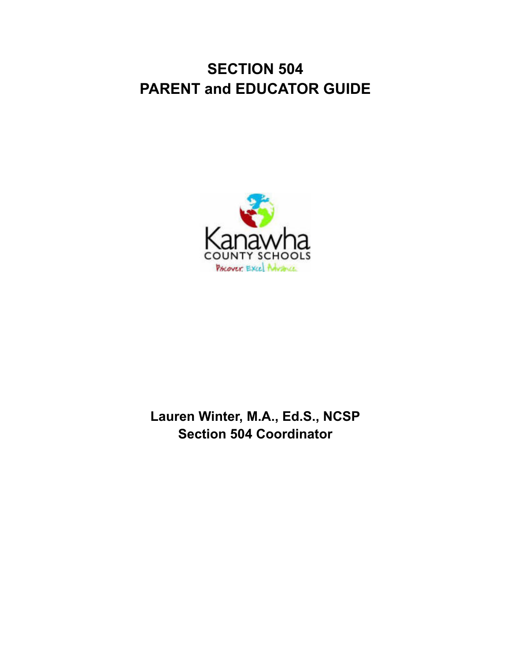# **SECTION 504 PARENT and EDUCATOR GUIDE**



## **Lauren Winter, M.A., Ed.S., NCSP Section 504 Coordinator**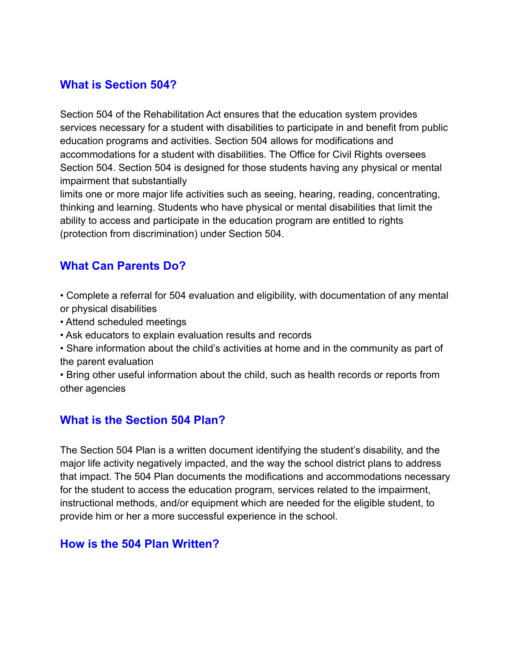#### **What is Section 504?**

Section 504 of the Rehabilitation Act ensures that the education system provides services necessary for a student with disabilities to participate in and benefit from public education programs and activities. Section 504 allows for modifications and accommodations for a student with disabilities. The Office for Civil Rights oversees Section 504. Section 504 is designed for those students having any physical or mental impairment that substantially

limits one or more major life activities such as seeing, hearing, reading, concentrating, thinking and learning. Students who have physical or mental disabilities that limit the ability to access and participate in the education program are entitled to rights (protection from discrimination) under Section 504.

#### **What Can Parents Do?**

- Complete a referral for 504 evaluation and eligibility, with documentation of any mental or physical disabilities
- Attend scheduled meetings
- Ask educators to explain evaluation results and records
- Share information about the child's activities at home and in the community as part of the parent evaluation
- Bring other useful information about the child, such as health records or reports from other agencies

#### **What is the Section 504 Plan?**

The Section 504 Plan is a written document identifying the student's disability, and the major life activity negatively impacted, and the way the school district plans to address that impact. The 504 Plan documents the modifications and accommodations necessary for the student to access the education program, services related to the impairment, instructional methods, and/or equipment which are needed for the eligible student, to provide him or her a more successful experience in the school.

#### **How is the 504 Plan Written?**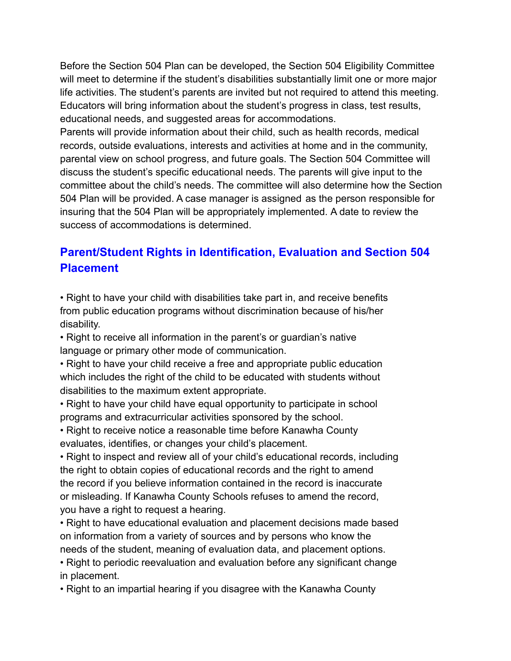Before the Section 504 Plan can be developed, the Section 504 Eligibility Committee will meet to determine if the student's disabilities substantially limit one or more major life activities. The student's parents are invited but not required to attend this meeting. Educators will bring information about the student's progress in class, test results, educational needs, and suggested areas for accommodations.

Parents will provide information about their child, such as health records, medical records, outside evaluations, interests and activities at home and in the community, parental view on school progress, and future goals. The Section 504 Committee will discuss the student's specific educational needs. The parents will give input to the committee about the child's needs. The committee will also determine how the Section 504 Plan will be provided. A case manager is assigned as the person responsible for insuring that the 504 Plan will be appropriately implemented. A date to review the success of accommodations is determined.

### **Parent/Student Rights in Identification, Evaluation and Section 504 Placement**

• Right to have your child with disabilities take part in, and receive benefits from public education programs without discrimination because of his/her disability.

• Right to receive all information in the parent's or guardian's native language or primary other mode of communication.

• Right to have your child receive a free and appropriate public education which includes the right of the child to be educated with students without disabilities to the maximum extent appropriate.

• Right to have your child have equal opportunity to participate in school programs and extracurricular activities sponsored by the school.

• Right to receive notice a reasonable time before Kanawha County evaluates, identifies, or changes your child's placement.

• Right to inspect and review all of your child's educational records, including the right to obtain copies of educational records and the right to amend the record if you believe information contained in the record is inaccurate or misleading. If Kanawha County Schools refuses to amend the record, you have a right to request a hearing.

• Right to have educational evaluation and placement decisions made based on information from a variety of sources and by persons who know the needs of the student, meaning of evaluation data, and placement options. • Right to periodic reevaluation and evaluation before any significant change

in placement.

• Right to an impartial hearing if you disagree with the Kanawha County